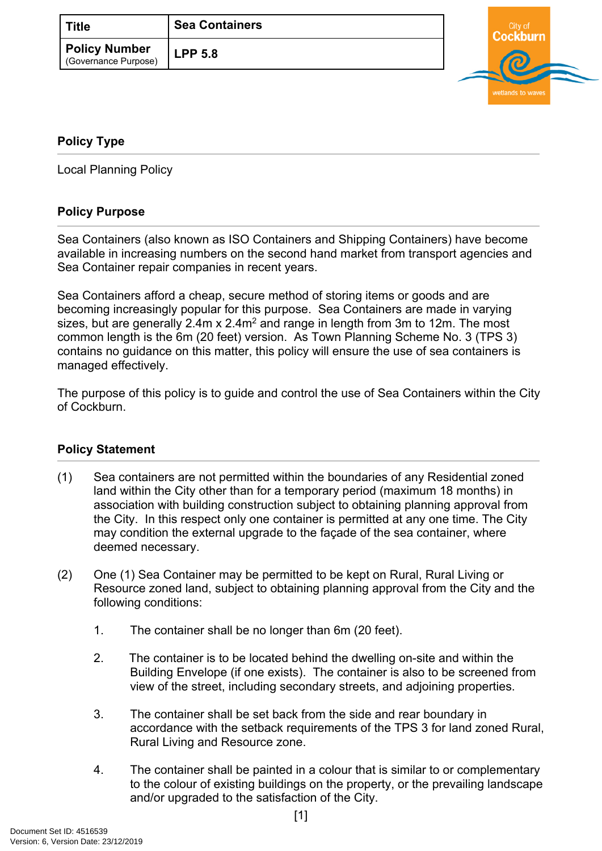| <b>Title</b>                                 | <b>Sea Containers</b> |
|----------------------------------------------|-----------------------|
| <b>Policy Number</b><br>(Governance Purpose) | <b>LPP 5.8</b>        |



## <span id="page-0-0"></span>**[Policy Type](#page-0-0)**

Local Planning Policy

## **Policy Purpose**

Sea Containers (also known as ISO Containers and Shipping Containers) have become available in increasing numbers on the second hand market from transport agencies and Sea Container repair companies in recent years.

Sea Containers afford a cheap, secure method of storing items or goods and are becoming increasingly popular for this purpose. Sea Containers are made in varying sizes, but are generally  $2.4$ m x  $2.4$ m<sup>2</sup> and range in length from 3m to 12m. The most common length is the 6m (20 feet) version. As Town Planning Scheme No. 3 (TPS 3) contains no guidance on this matter, this policy will ensure the use of sea containers is managed effectively.

The purpose of this policy is to guide and control the use of Sea Containers within the City of Cockburn.

## **[Policy Statement](#page-0-1)**

- <span id="page-0-1"></span>(1) Sea containers are not permitted within the boundaries of any Residential zoned land within the City other than for a temporary period (maximum 18 months) in association with building construction subject to obtaining planning approval from the City. In this respect only one container is permitted at any one time. The City may condition the external upgrade to the façade of the sea container, where deemed necessary.
- (2) One (1) Sea Container may be permitted to be kept on Rural, Rural Living or Resource zoned land, subject to obtaining planning approval from the City and the following conditions:
	- 1. The container shall be no longer than 6m (20 feet).
	- 2. The container is to be located behind the dwelling on-site and within the Building Envelope (if one exists). The container is also to be screened from view of the street, including secondary streets, and adjoining properties.
	- 3. The container shall be set back from the side and rear boundary in accordance with the setback requirements of the TPS 3 for land zoned Rural, Rural Living and Resource zone.
	- 4. The container shall be painted in a colour that is similar to or complementary to the colour of existing buildings on the property, or the prevailing landscape and/or upgraded to the satisfaction of the City.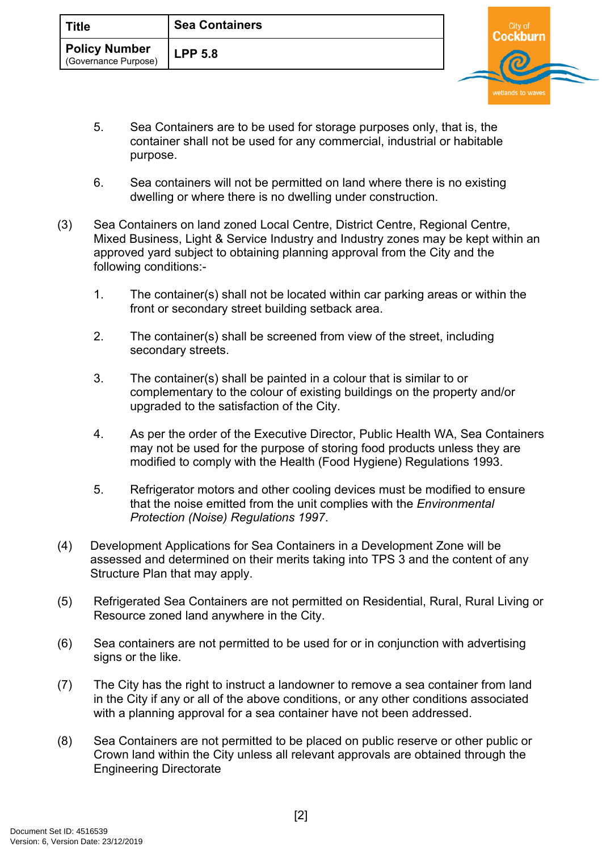| ้ Title                                      | <b>Sea Containers</b> |  |  |
|----------------------------------------------|-----------------------|--|--|
| <b>Policy Number</b><br>(Governance Purpose) | <b>LPP 5.8</b>        |  |  |

wetlands to wave

- 5. Sea Containers are to be used for storage purposes only, that is, the container shall not be used for any commercial, industrial or habitable purpose.
- 6. Sea containers will not be permitted on land where there is no existing dwelling or where there is no dwelling under construction.
- (3) Sea Containers on land zoned Local Centre, District Centre, Regional Centre, Mixed Business, Light & Service Industry and Industry zones may be kept within an approved yard subject to obtaining planning approval from the City and the following conditions:-
	- 1. The container(s) shall not be located within car parking areas or within the front or secondary street building setback area.
	- 2. The container(s) shall be screened from view of the street, including secondary streets.
	- 3. The container(s) shall be painted in a colour that is similar to or complementary to the colour of existing buildings on the property and/or upgraded to the satisfaction of the City.
	- 4. As per the order of the Executive Director, Public Health WA, Sea Containers may not be used for the purpose of storing food products unless they are modified to comply with the Health (Food Hygiene) Regulations 1993.
	- 5. Refrigerator motors and other cooling devices must be modified to ensure that the noise emitted from the unit complies with the *Environmental Protection (Noise) Regulations 1997*.
- (4) Development Applications for Sea Containers in a Development Zone will be assessed and determined on their merits taking into TPS 3 and the content of any Structure Plan that may apply.
- (5) Refrigerated Sea Containers are not permitted on Residential, Rural, Rural Living or Resource zoned land anywhere in the City.
- (6) Sea containers are not permitted to be used for or in conjunction with advertising signs or the like.
- (7) The City has the right to instruct a landowner to remove a sea container from land in the City if any or all of the above conditions, or any other conditions associated with a planning approval for a sea container have not been addressed.
- (8) Sea Containers are not permitted to be placed on public reserve or other public or Crown land within the City unless all relevant approvals are obtained through the Engineering Directorate